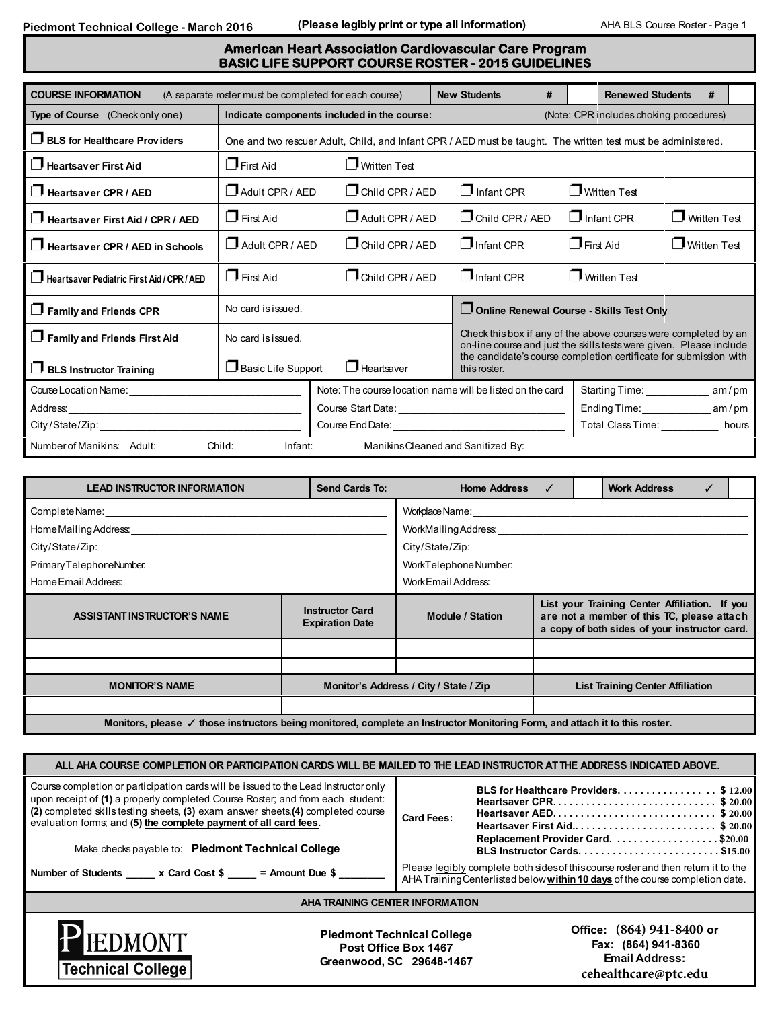## **American Heart Association Cardiovascular Care Program BASIC LIFE SUPPORT COURSE ROSTER - 2015 GUIDELINES**

| <b>COURSE INFORMATION</b>                                                                                                                                                                                                      |                                          | (A separate roster must be completed for each course)     | <b>New Students</b>    | #                                                                                                                                      | <b>Renewed Students</b>                                           | #                   |       |  |  |
|--------------------------------------------------------------------------------------------------------------------------------------------------------------------------------------------------------------------------------|------------------------------------------|-----------------------------------------------------------|------------------------|----------------------------------------------------------------------------------------------------------------------------------------|-------------------------------------------------------------------|---------------------|-------|--|--|
| Type of Course (Check only one)                                                                                                                                                                                                |                                          | Indicate components included in the course:               |                        | (Note: CPR includes choking procedures)                                                                                                |                                                                   |                     |       |  |  |
| <b>BLS for Healthcare Providers</b>                                                                                                                                                                                            |                                          |                                                           |                        | One and two rescuer Adult, Child, and Infant CPR / AED must be taught. The written test must be administered.                          |                                                                   |                     |       |  |  |
| Heartsaver First Aid                                                                                                                                                                                                           | $\Box$ First Aid                         | Written Test                                              |                        |                                                                                                                                        |                                                                   |                     |       |  |  |
| H<br>Heartsaver CPR / AED                                                                                                                                                                                                      | $\Box$ Adult CPR / AED                   | $\Box$ Child CPR / AFD                                    | $\Box$ Infant CPR      | □ Written Test                                                                                                                         |                                                                   |                     |       |  |  |
| Heartsaver First Aid / CPR / AED                                                                                                                                                                                               | $\Box$ First Aid                         | Adult CPR / AFD                                           | $\Box$ Child CPR / AED |                                                                                                                                        | $\Box$ Infant CPR                                                 | <b>Written Test</b> |       |  |  |
| $\Box$ Heartsaver CPR / AED in Schools                                                                                                                                                                                         | $\Box$ Adult CPR / AED                   | $\Box$ Child CPR / AED                                    | $\Box$ Infant CPR      |                                                                                                                                        | First Aid                                                         | □ Written Test      |       |  |  |
| Heartsaver Pediatric First Aid / CPR / AED                                                                                                                                                                                     | $\Box$ First Aid                         | $\Box$ Child CPR / AED                                    | $\Box$ Infant CPR      |                                                                                                                                        | Written Test                                                      |                     |       |  |  |
| $\Box$ Family and Friends CPR                                                                                                                                                                                                  | No card is issued.                       |                                                           |                        |                                                                                                                                        | Online Renewal Course - Skills Test Only                          |                     |       |  |  |
| Family and Friends First Aid                                                                                                                                                                                                   | No card is issued.                       |                                                           |                        | Check this box if any of the above courses were completed by an<br>on-line course and just the skills tests were given. Please include |                                                                   |                     |       |  |  |
| $\Box$ BLS Instructor Training                                                                                                                                                                                                 | Basic Life Support                       | $\Box$ Heartsaver                                         | this roster.           |                                                                                                                                        | the candidate's course completion certificate for submission with |                     |       |  |  |
| Course Location Name: Course Location Name:                                                                                                                                                                                    |                                          | Note: The course location name will be listed on the card |                        |                                                                                                                                        | Starting Time: _____________                                      |                     | am/pm |  |  |
| Address: Analysis and the state of the state of the state of the state of the state of the state of the state of the state of the state of the state of the state of the state of the state of the state of the state of the s |                                          |                                                           |                        |                                                                                                                                        | Ending Time: am/pm                                                |                     |       |  |  |
| City/State/Zip:                                                                                                                                                                                                                | Course End Date: <u>Course and Date:</u> |                                                           |                        | Total Class Time: ___________ hours                                                                                                    |                                                                   |                     |       |  |  |
| Number of Manikins: Adult:<br>Child:<br>Infant: Manikins Cleaned and Sanitized By:                                                                                                                                             |                                          |                                                           |                        |                                                                                                                                        |                                                                   |                     |       |  |  |

| <b>LEAD INSTRUCTOR INFORMATION</b>                         | <b>Send Cards To:</b>   | <b>Home Address</b>                                                                                                                          | $\checkmark$ |  | <b>Work Address</b>                     |  |  |  |  |
|------------------------------------------------------------|-------------------------|----------------------------------------------------------------------------------------------------------------------------------------------|--------------|--|-----------------------------------------|--|--|--|--|
| Complete Name:                                             |                         | Workplace Name:                                                                                                                              |              |  |                                         |  |  |  |  |
|                                                            |                         |                                                                                                                                              |              |  |                                         |  |  |  |  |
|                                                            |                         |                                                                                                                                              |              |  |                                         |  |  |  |  |
|                                                            |                         |                                                                                                                                              |              |  |                                         |  |  |  |  |
| Home Email Address: North American American State Address: |                         |                                                                                                                                              |              |  |                                         |  |  |  |  |
| <b>ASSISTANT INSTRUCTOR'S NAME</b>                         | <b>Module / Station</b> | List your Training Center Affiliation. If you<br>are not a member of this TC, please attach<br>a copy of both sides of your instructor card. |              |  |                                         |  |  |  |  |
|                                                            |                         |                                                                                                                                              |              |  |                                         |  |  |  |  |
|                                                            |                         |                                                                                                                                              |              |  |                                         |  |  |  |  |
| <b>MONITOR'S NAME</b>                                      |                         | Monitor's Address / City / State / Zip                                                                                                       |              |  | <b>List Training Center Affiliation</b> |  |  |  |  |
|                                                            |                         |                                                                                                                                              |              |  |                                         |  |  |  |  |
|                                                            |                         |                                                                                                                                              |              |  |                                         |  |  |  |  |

| ALL AHA COURSE COMPLETION OR PARTICIPATION CARDS WILL BE MAILED TO THE LEAD INSTRUCTOR AT THE ADDRESS INDICATED ABOVE.                                                                                                                                                                                                                                                                                                                               |                      |                                                                                                                                                                                                                                                                       |                                                                                                   |  |  |  |  |
|------------------------------------------------------------------------------------------------------------------------------------------------------------------------------------------------------------------------------------------------------------------------------------------------------------------------------------------------------------------------------------------------------------------------------------------------------|----------------------|-----------------------------------------------------------------------------------------------------------------------------------------------------------------------------------------------------------------------------------------------------------------------|---------------------------------------------------------------------------------------------------|--|--|--|--|
| Course completion or participation cards will be issued to the Lead Instructor only<br>upon receipt of (1) a properly completed Course Roster; and from each student:<br>(2) completed skills testing sheets, (3) exam answer sheets, (4) completed course<br>evaluation forms; and (5) the complete payment of all card fees.<br>Make checks payable to: Piedmont Technical College<br>Number of Students _____ x Card Cost \$ ____ = Amount Due \$ | <b>Card Fees:</b>    | BLS for Healthcare Providers. \$ 12.00<br>Heartsaver AED\$20.00<br>Heartsaver First Aid\$20.00<br>Please legibly complete both sides of this course roster and then return it to the<br>AHA Training Centerlisted below within 10 days of the course completion date. |                                                                                                   |  |  |  |  |
| AHA TRAINING CENTER INFORMATION                                                                                                                                                                                                                                                                                                                                                                                                                      |                      |                                                                                                                                                                                                                                                                       |                                                                                                   |  |  |  |  |
| <b>PIEDMONT</b><br><b>Technical College</b>                                                                                                                                                                                                                                                                                                                                                                                                          | Post Office Box 1467 | <b>Piedmont Technical College</b><br>Greenwood, SC 29648-1467                                                                                                                                                                                                         | Office: (864) 941-8400 or<br>Fax: (864) 941-8360<br><b>Email Address:</b><br>cehealthcare@ptc.edu |  |  |  |  |